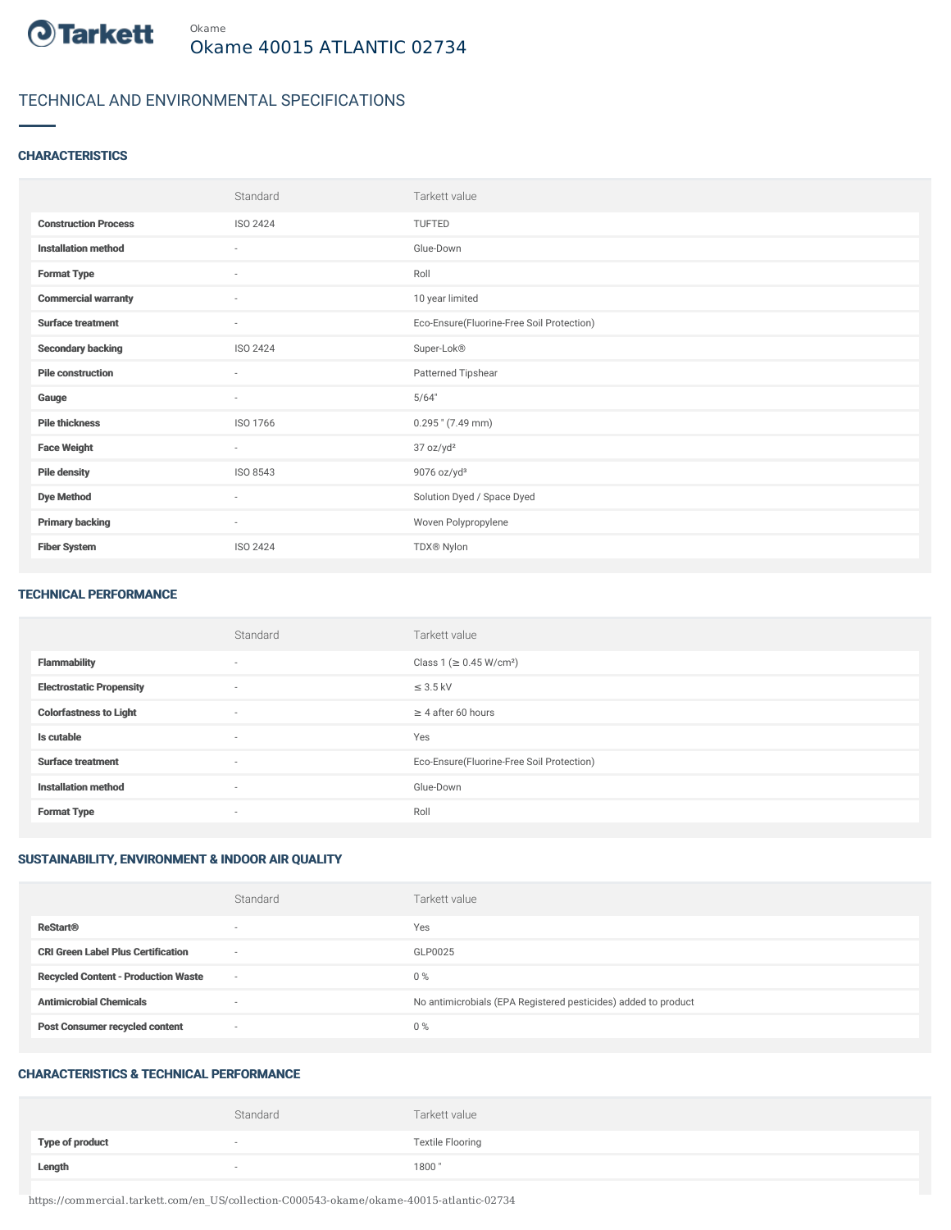

# TECHNICAL AND ENVIRONMENTAL SPECIFICATIONS

# **CHARACTERISTICS**

|                             | Standard        | Tarkett value                             |
|-----------------------------|-----------------|-------------------------------------------|
| <b>Construction Process</b> | ISO 2424        | TUFTED                                    |
| <b>Installation method</b>  | $\sim$          | Glue-Down                                 |
| <b>Format Type</b>          | $\sim$          | Roll                                      |
| <b>Commercial warranty</b>  | $\sim$          | 10 year limited                           |
| <b>Surface treatment</b>    | $\sim$          | Eco-Ensure(Fluorine-Free Soil Protection) |
| <b>Secondary backing</b>    | ISO 2424        | Super-Lok®                                |
| <b>Pile construction</b>    | $\sim$          | Patterned Tipshear                        |
| Gauge                       | $\sim$          | 5/64"                                     |
| <b>Pile thickness</b>       | ISO 1766        | $0.295$ " (7.49 mm)                       |
| <b>Face Weight</b>          | $\sim$          | 37 oz/yd <sup>2</sup>                     |
| <b>Pile density</b>         | ISO 8543        | $9076$ oz/yd <sup>3</sup>                 |
| <b>Dye Method</b>           | $\sim$          | Solution Dyed / Space Dyed                |
| <b>Primary backing</b>      | $\sim$          | Woven Polypropylene                       |
| <b>Fiber System</b>         | <b>ISO 2424</b> | TDX® Nylon                                |

#### TECHNICAL PERFORMANCE

|                                 | Standard                 | Tarkett value                             |
|---------------------------------|--------------------------|-------------------------------------------|
| <b>Flammability</b>             | $\overline{\phantom{a}}$ | Class 1 ( $\geq$ 0.45 W/cm <sup>2</sup> ) |
| <b>Electrostatic Propensity</b> | $\sim$                   | $\leq$ 3.5 kV                             |
| <b>Colorfastness to Light</b>   | $\sim$                   | $\geq$ 4 after 60 hours                   |
| Is cutable                      | $\sim$                   | Yes                                       |
| <b>Surface treatment</b>        | $\sim$                   | Eco-Ensure(Fluorine-Free Soil Protection) |
| <b>Installation method</b>      | $\overline{\phantom{a}}$ | Glue-Down                                 |
| <b>Format Type</b>              | $\overline{\phantom{a}}$ | Roll                                      |

# SUSTAINABILITY, ENVIRONMENT & INDOOR AIR QUALITY

|                                            | Standard                 | Tarkett value                                                  |
|--------------------------------------------|--------------------------|----------------------------------------------------------------|
| <b>ReStart®</b>                            | $\overline{\phantom{a}}$ | Yes                                                            |
| <b>CRI Green Label Plus Certification</b>  | $\overline{\phantom{a}}$ | GLP0025                                                        |
| <b>Recycled Content - Production Waste</b> | $\overline{\phantom{a}}$ | $0\%$                                                          |
| <b>Antimicrobial Chemicals</b>             | -                        | No antimicrobials (EPA Registered pesticides) added to product |
| <b>Post Consumer recycled content</b>      | $\overline{\phantom{a}}$ | $0\%$                                                          |

#### CHARACTERISTICS & TECHNICAL PERFORMANCE

|                        | Standard | Tarkett value           |
|------------------------|----------|-------------------------|
| <b>Type of product</b> |          | <b>Textile Flooring</b> |
| Length                 |          | 1800"                   |

https://commercial.tarkett.com/en\_US/collection-C000543-okame/okame-40015-atlantic-02734